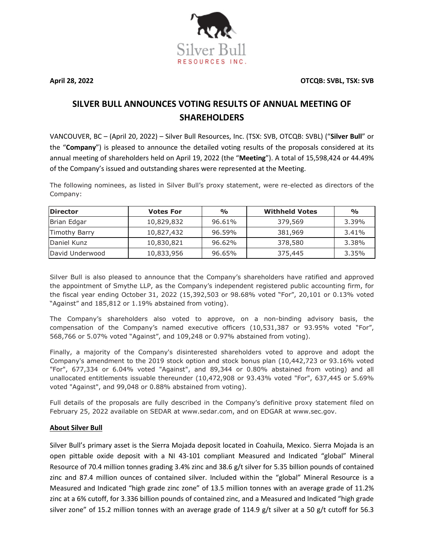**April 28, 2022 OTCQB: SVBL, TSX: SVB**



VANCOUVER, BC – (April 20, 2022) – Silver Bull Resources, Inc. (TSX: SVB, OTCQB: SVBL) ("**Silver Bull**" or the "**Company**") is pleased to announce the detailed voting results of the proposals considered at its annual meeting of shareholders held on April 19, 2022 (the "**Meeting**"). A total of 15,598,424 or 44.49% of the Company's issued and outstanding shares were represented at the Meeting.

The following nominees, as listed in Silver Bull's proxy statement, were re-elected as directors of the Company:

| <b>Director</b> | <b>Votes For</b> | $\frac{1}{2}$ | <b>Withheld Votes</b> | $\frac{O}{O}$ |
|-----------------|------------------|---------------|-----------------------|---------------|
| Brian Edgar     | 10,829,832       | 96.61%        | 379,569               | 3.39%         |
| Timothy Barry   | 10,827,432       | 96.59%        | 381,969               | 3.41%         |
| Daniel Kunz     | 10,830,821       | 96.62%        | 378,580               | 3.38%         |
| David Underwood | 10,833,956       | 96.65%        | 375,445               | 3.35%         |

Silver Bull is also pleased to announce that the Company's shareholders have ratified and approved the appointment of Smythe LLP, as the Company's independent registered public accounting firm, for the fiscal year ending October 31, 2022 (15,392,503 or 98.68% voted "For", 20,101 or 0.13% voted "Against" and 185,812 or 1.19% abstained from voting).

The Company's shareholders also voted to approve, on a non-binding advisory basis, the compensation of the Company's named executive officers (10,531,387 or 93.95% voted "For", 568,766 or 5.07% voted "Against", and 109,248 or 0.97% abstained from voting).

Finally, a majority of the Company's disinterested shareholders voted to approve and adopt the Company's amendment to the 2019 stock option and stock bonus plan (10,442,723 or 93.16% voted "For", 677,334 or 6.04% voted "Against", and 89,344 or 0.80% abstained from voting) and all unallocated entitlements issuable thereunder (10,472,908 or 93.43% voted "For", 637,445 or 5.69% voted "Against", and 99,048 or 0.88% abstained from voting).

Full details of the proposals are fully described in the Company's definitive proxy statement filed on February 25, 2022 available on SEDAR at [www.sedar.com,](http://www.sedar.com/) and on EDGAR at [www.sec.gov.](http://www.sec.gov/)

## **About Silver Bull**

Silver Bull's primary asset is the Sierra Mojada deposit located in Coahuila, Mexico. Sierra Mojada is an open pittable oxide deposit with a NI 43-101 compliant Measured and Indicated "global" Mineral Resource of 70.4 million tonnes grading 3.4% zinc and 38.6 g/t silver for 5.35 billion pounds of contained zinc and 87.4 million ounces of contained silver. Included within the "global" Mineral Resource is a Measured and Indicated "high grade zinc zone" of 13.5 million tonnes with an average grade of 11.2% zinc at a 6% cutoff, for 3.336 billion pounds of contained zinc, and a Measured and Indicated "high grade silver zone" of 15.2 million tonnes with an average grade of 114.9 g/t silver at a 50 g/t cutoff for 56.3

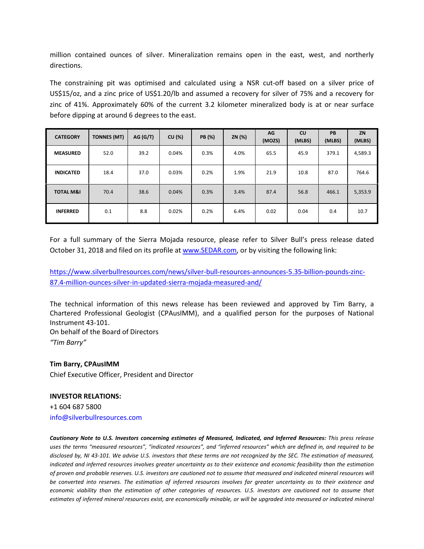million contained ounces of silver. Mineralization remains open in the east, west, and northerly directions.

The constraining pit was optimised and calculated using a NSR cut-off based on a silver price of US\$15/oz, and a zinc price of US\$1.20/lb and assumed a recovery for silver of 75% and a recovery for zinc of 41%. Approximately 60% of the current 3.2 kilometer mineralized body is at or near surface before dipping at around 6 degrees to the east.

| <b>CATEGORY</b>      | <b>TONNES (MT)</b> | AG (G/T) | CU (%) | <b>PB</b> (%) | ZN (%) | AG<br>(MOZS) | cu<br>(MLBS) | PB<br>(MLBS) | ZN<br>(MLBS) |
|----------------------|--------------------|----------|--------|---------------|--------|--------------|--------------|--------------|--------------|
| <b>MEASURED</b>      | 52.0               | 39.2     | 0.04%  | 0.3%          | 4.0%   | 65.5         | 45.9         | 379.1        | 4,589.3      |
| <b>INDICATED</b>     | 18.4               | 37.0     | 0.03%  | 0.2%          | 1.9%   | 21.9         | 10.8         | 87.0         | 764.6        |
| <b>TOTAL M&amp;I</b> | 70.4               | 38.6     | 0.04%  | 0.3%          | 3.4%   | 87.4         | 56.8         | 466.1        | 5,353.9      |
| <b>INFERRED</b>      | 0.1                | 8.8      | 0.02%  | 0.2%          | 6.4%   | 0.02         | 0.04         | 0.4          | 10.7         |

For a full summary of the Sierra Mojada resource, please refer to Silver Bull's press release dated October 31, 2018 and filed on its profile at [www.SEDAR.com,](http://www.sedar.com/) or by visiting the following link:

[https://www.silverbullresources.com/news/silver-bull-resources-announces-5.35-billion-pounds-zinc-](https://www.silverbullresources.com/news/silver-bull-resources-announces-5.35-billion-pounds-zinc-87.4-million-ounces-silver-in-updated-sierra-mojada-measured-and/)[87.4-million-ounces-silver-in-updated-sierra-mojada-measured-and/](https://www.silverbullresources.com/news/silver-bull-resources-announces-5.35-billion-pounds-zinc-87.4-million-ounces-silver-in-updated-sierra-mojada-measured-and/)

The technical information of this news release has been reviewed and approved by Tim Barry, a Chartered Professional Geologist (CPAusIMM), and a qualified person for the purposes of National Instrument 43-101.

On behalf of the Board of Directors *"Tim Barry"* 

## **Tim Barry, CPAusIMM**

Chief Executive Officer, President and Director

## **INVESTOR RELATIONS:**

+1 604 687 5800 info@silverbullresources.com

*Cautionary Note to U.S. Investors concerning estimates of Measured, Indicated, and Inferred Resources: This press release uses the terms "measured resources", "indicated resources", and "inferred resources" which are defined in, and required to be disclosed by, NI 43-101. We advise U.S. investors that these terms are not recognized by the SEC. The estimation of measured, indicated and inferred resources involves greater uncertainty as to their existence and economic feasibility than the estimation of proven and probable reserves. U.S. investors are cautioned not to assume that measured and indicated mineral resources will be converted into reserves. The estimation of inferred resources involves far greater uncertainty as to their existence and economic viability than the estimation of other categories of resources. U.S. investors are cautioned not to assume that estimates of inferred mineral resources exist, are economically minable, or will be upgraded into measured or indicated mineral*